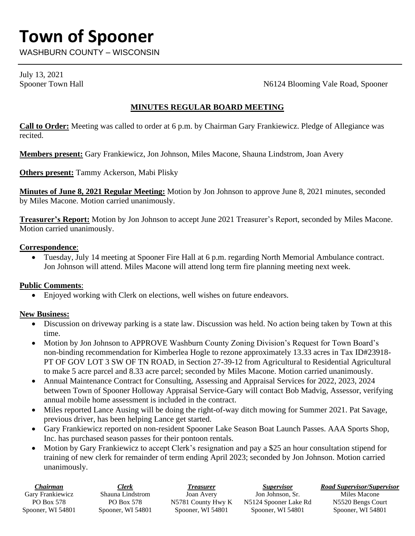# **Town of Spooner**

WASHBURN COUNTY – WISCONSIN

July 13, 2021

Spooner Town Hall Spooner Town Hall Spooner Town Hall Spooner

# **MINUTES REGULAR BOARD MEETING**

**Call to Order:** Meeting was called to order at 6 p.m. by Chairman Gary Frankiewicz. Pledge of Allegiance was recited.

**Members present:** Gary Frankiewicz, Jon Johnson, Miles Macone, Shauna Lindstrom, Joan Avery

**Others present:** Tammy Ackerson, Mabi Plisky

**Minutes of June 8, 2021 Regular Meeting:** Motion by Jon Johnson to approve June 8, 2021 minutes, seconded by Miles Macone. Motion carried unanimously.

**Treasurer's Report:** Motion by Jon Johnson to accept June 2021 Treasurer's Report, seconded by Miles Macone. Motion carried unanimously.

# **Correspondence**:

• Tuesday, July 14 meeting at Spooner Fire Hall at 6 p.m. regarding North Memorial Ambulance contract. Jon Johnson will attend. Miles Macone will attend long term fire planning meeting next week.

# **Public Comments**:

• Enjoyed working with Clerk on elections, well wishes on future endeavors.

# **New Business:**

- Discussion on driveway parking is a state law. Discussion was held. No action being taken by Town at this time.
- Motion by Jon Johnson to APPROVE Washburn County Zoning Division's Request for Town Board's non-binding recommendation for Kimberlea Hogle to rezone approximately 13.33 acres in Tax ID#23918- PT OF GOV LOT 3 SW OF TN ROAD, in Section 27-39-12 from Agricultural to Residential Agricultural to make 5 acre parcel and 8.33 acre parcel; seconded by Miles Macone. Motion carried unanimously.
- Annual Maintenance Contract for Consulting, Assessing and Appraisal Services for 2022, 2023, 2024 between Town of Spooner Holloway Appraisal Service-Gary will contact Bob Madvig, Assessor, verifying annual mobile home assessment is included in the contract.
- Miles reported Lance Ausing will be doing the right-of-way ditch mowing for Summer 2021. Pat Savage, previous driver, has been helping Lance get started.
- Gary Frankiewicz reported on non-resident Spooner Lake Season Boat Launch Passes. AAA Sports Shop, Inc. has purchased season passes for their pontoon rentals.
- Motion by Gary Frankiewicz to accept Clerk's resignation and pay a \$25 an hour consultation stipend for training of new clerk for remainder of term ending April 2023; seconded by Jon Johnson. Motion carried unanimously.

| Chairman          | Clerk             | Treasurer          | <i>Supervisor</i>     | Road Supervisor/Supervisor |
|-------------------|-------------------|--------------------|-----------------------|----------------------------|
| Garv Frankiewicz  | Shauna Lindstrom  | Joan Avery         | Jon Johnson, Sr.      | Miles Macone               |
| PO Box 578        | PO Box 578        | N5781 County Hwy K | N5124 Spooner Lake Rd | N5520 Bengs Court          |
| Spooner, WI 54801 | Spooner, WI 54801 | Spooner, WI 54801  | Spooner, WI 54801     | Spooner, WI 54801          |